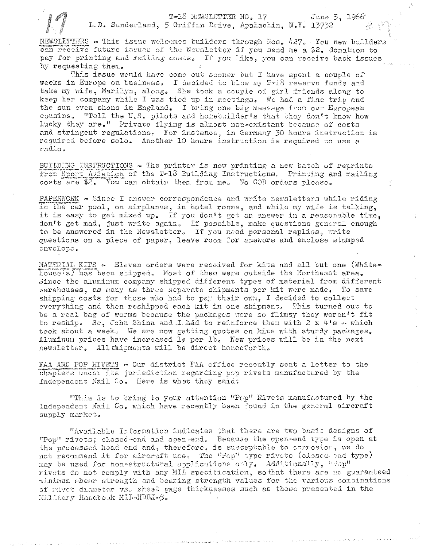T-18 NEWSLETTER NO. 17

L.D. Sunderland, 5 Griffin Drive, Apalachin, N.Y. 13732

June 3, 1966

NEWSLETTERS ~ This issue welcomes builders through Nos.  $427.$  You new builders can receive future issues of the Newsletter if you send me a \$2. donation to pay for printing and mailing costs. If you like, you can receive back issues by requesting them.

This issue would have come out sooner but I have spent a couple of weeks in Europe on business, I decided to blow my T-18 reserve funds and take my wife. Marilyn, along, She took a couple of girl friends along to keep her company while I was tied up in meetings. We had a fine trip and the sun even shone in England. I bring one big message from our European cousins. "Tell the U.S. pilots and homebuilder's that they don't know how lucky they are." Private flying is almost non-existant because of costs and stringent regulations. For instance, in Germany 30 hours instruction is required before solo. Another 10 hours instruction is required to use a radio.

BUILDING INSTRUCTIONS - The printer is now printing a new batch of reprints from Sport Aviation of the T-13 Building Instructions. Printing and mailing costs are \$2. You can obtain them from me. No COD orders please.

PAPERWORK - Since I answer correspondence and write newsletters while riding in the car pool, on airplanes, in hotel rooms, and while my wife is talking, it is easy to get mixed up. If you don't get an answer in a reasonable time. don't get mad, just write again. If possible, make questions general enough to be answered in the Newsletter, If you need personal replies, write questions on a piece of paper, leave room for answers and enclose stamped envelope.

MATERIAL KITS - Eleven orders were received for kits and all but one (Whitehouse's) has been shipped, Most of them were outside the Northeast area, Since the aluminum company shipped different types of material from different warehouses, as many as three separate shipments per kit were made. To save shipping costs for those who had to pay their own, I decided to collect everything and then reshipped each kit in one shipment. This turned out to be a real bag of worms because the packages were so flimsy they weren't fit to reship. So, John Shinn and I had to reinforce them with  $2 \times 4$ <sup>8</sup>s  $\rightarrow$  which took about a week. We are now getting quotes on kits with sturdy packages. Aluminum prices have increased l¢ per lb. New prices will be in the next newsletter. All shipments will be direct henceforth.

FAA AND POP RIVETS - Our district FAA cffice recently sent a letter to the chapters under its jurisdiction regarding pop rivets manufactured by the Independent Nail Co. Here is what they said:

"This is to bring to your attention "Pop" Rivets manufactured by the Independent Nail Co. which have recently been found in the general aircraft supply market.

"Available Information indicates that there are two basic designs of "Pop" rivets; closed-end and open-end. Because the open-end type is open at the processed head end and, therefore, is susceptable to corrosion, we do not recommend it for aircraft use, The "Pop" type rivets (closed and type) may be used for non-structural applications only. Additionally, "Pop" rivets do not comply with any MIL specification, so that there are no guaranteed minimum shear strength and bearing strength values for the various combinations of rivet diameter vs. sheet gage thicknesses such as those presented in the Millitary Handbook MIL-HDBK-5.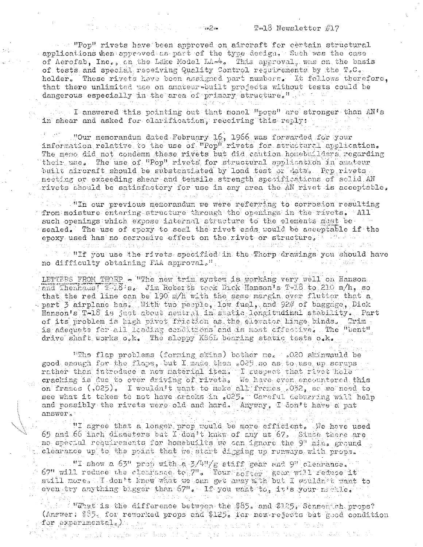## $Ta-18$  Newsletter  $\#17$

securi "Pop" rivets have been approved on aircraft for certain structural applications when approved as part of the type design. Such was the case of Aerofab, Inc., on the Lake Model LA= $\frac{1}{4}$ . This approval, was on the basis of tests and special receiving Quality Control requirements by the T.C. holder. These rivets have been assigned part numbers. It follows therefore, that there unlimited use on anateur-built projects without tests could be dangerous especially in the area of primary structure."

 $\cdots$  as  $2n$ .

an an an sa ainm Buile Ior

改变如 " 20 I answered this pointing out that monel "pops" are stronger than AN's (関数) 人 in shear and asked for clarification, receiving this reply: which are

"Our memorandum dated February 16, 1966 was forwarded for your information relative to the use of "Pop" rivets for structurel application. The memo did not condemn these rivets but did caution homebuilders regarding their use. The use of "Pop" rivets for structural application in amateur built aircraft should be substantiated by load test or data. Pop rivets meeting or exceeding shear and tensile strength specifications of solid AN rivets should be satisfactory for use in any area the AN rivet is acceptable. n a sanan ad cilimat bacca la las como non l'accio le passa segu

"In our previous memorandum we were referring to corrosion resulting from moisture entering structure through the openings in the rivets. All such openings which expose internal structure to the elements must be sealed. The use of spoxy to seal the rivet shas would be acceptable if the epoxy used has no corrosive effect on the rivet or structure. A line when  $\gamma_{\rm{avg}}$  of large  $\Sigma$ ns o chuidh Andrium (D Maria.

. "If you use the rivets specified in the Thorp drawings you should have no difficulty obtaining FAA approval."

LETTERS FROM THORP - "The new trim system is working very well on Hanson. and Thenhaus (18's. Jim Roberts took Dick Hanson's T-18 to 210 m/h, so that the red line can be 190 m/h with the same margin over flutter that a part 3 airplane has. With two perple, low fuel, and 92# of baggage, Dick Hanson's T-18 is just about neutral in static longitudinal stability. Part of its problem is high pivet friction as the elector hinge binds. Trim is adequate for all loading conditions and is most effective. The "bent" drive shaft works o.k. The sloppy KS6L bearing static tests o.k.

"The flap problems (forming skins) bother me. .020 skinwould be good enough for the flaps, but I made them .025 so as to use up scraps rather than introduce a new material item. I suspect that rivet hele cracking is due to over driving of rivets. We have even encountered this on frames (,025). I wouldn't want to make all frames .032, sc we need to see what it takes to not have cracks in .025. Careful deburring will help and possibly the rivets were old and hard. Anyway, T don't have a pat answer.

"I agree that a longer prop would be more efficient. We have used 65 and 66 inch diameters but I don't knkw of any at 67. Since there are no special requirements for homebuilts we can ignore the 9" min. ground clearance up to the point that we start digging up runways with props.

"I show a 63" prop with a 3/4"/g stiff gear and 9" clearance. 67" will reduce the clearance to 7". Your sorter gear will reduce it even try anything bigger than 67". If you want to, it's your nealle. alla attendente en all'ikida dagger de

 $\sim$   $\sim$  What is the difference between the \$85. and \$125. Sensemich props? (Answer: \$85, for reworked props and \$125. for new rejects but good condition

for experimental. an san Branca Águs salut sa Salut a Salut Sa A re mail innis vir has lin jour que le sexuellem avec sit sur vir su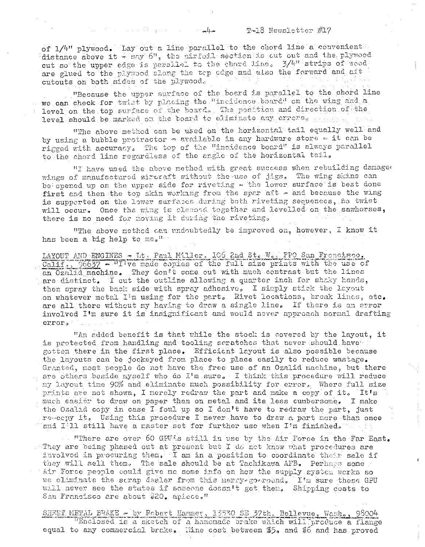### $T-18$  Newsletter  $\#17$

of 1/4" plywood. Lay out a line parallel to the chord line a convenient distance above it - sny 6", the airforl section is out out and the plywood cut so the upper edge is parallel to the chord line. 3/4" strips of wood are glued to the plywood along the top odge and also the forward and aft cutouts on both sides of the plywood.

"Because the upper surface of the board is parallel to the chord line we can check for twist by placing the "incidence board" on the wing and a level on the top surface of the board. The position and direction of the level should be marked on the board to eliminate any errors.

"The above method can be used on the horizontal tail equally well and by using a bubble protractor - available in any hardware store . it can be rigged with accuracy. The top of the "incidence board" is always parallel to the chord line regardless of the angle of the horizontal tail.

"I have used the above method with great success when rebuilding damages wings of manufactured aircraft without the use of jigs. The wing skins can be opened up on the upper side for riveting - the lower surface is best done first and then the top skin working from the spar aft - and because the wing is supperted on the lower surfaces during both riveting sequences, no twist will occur. Once the wing is clessed together and levelled on the sawhorses, there is no need for moving it during the riveting,

"The above method can undoubtedly be improved on, however, I know it has been a big help to me."

LAYOUT AND ENGINES - It. Paul Miller. 106 2nd St. W. FPO San Francisco. Calif., 96637 - "I've made copies of the full size prints with the use of an Ozalid machine. They don't come out with much contrast but the lines are distinct. I cut the outline allowing a quarter inch for shaky hands. then spray the back side with spray adhesive, I simply stick the layout on whatever metal I'm using for the part. Rivet locations, break lines, etc. are all there without my having to draw a single line. If there is an error involved I'm sure it is insignificant and would never approach normal drafting error.

"An added benefit is that while the stock is covered by the layout, it is protected from handling and tooling scratches that never should have gotten there in the first place. Efficient layout is also possible because the layouts can be jockeyed from place to place easily to reduce wastage. Granted, most people do not have the free use of an Ozalid machine, but there are others beside myself who do I'm sure. I think this procedure will reduce my layout time 90% and eliminate much possibility for error. Where full size prints are not shown, I merely redraw the part and make a copy of it. It's much easier to draw on paper than on metal and its less cumbersome. I make the Ozalid copy in case I foul up so I don't have to redraw the part, just re-copy it. Using this procedure I never have to draw a part more than once and I'll still have a master set for further use when I'm finished.

"There are over 60 GPU2s still in use by the Air Force in the Far East. . They are being phased out at present but  $I$  do not know what procedures are involved in procuring them. I am in a position to coordinate their sale if they will sell them. The sale should be at Tachikawa AFB. Perhaps some Air Force people could give me some info on how the supply system works so we eliminate the scrap dealer from this herry-go-round. I'm sure these GPU will never see the states if someone doesn't get them. Shipping costs to San Francisco are about  $$20<sub>8</sub>$  apiece.<sup>n</sup>

SHEET METAL BRAKE - by Rebert Harmer, 13530 SE 37th, Bellevue, Wash., 98004 "Enclosed is a sketch of a homemade brake which will produce a flange equal to any commercial brake. Hine cost between \$5. and \$6 and has proved

ديلهم فللمستقبل

an an choicear Albanya ann an c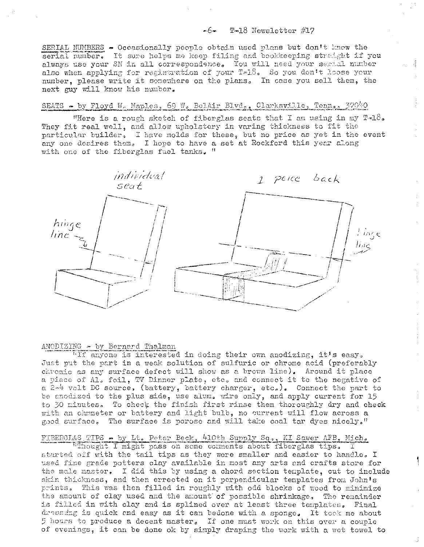## $-6$  T-18 Newsletter  $\#17$

SERIAL NUMBERS - Occasionally people obtain used plans but don't know the serial number. It sure helps me keep filing and bookkeeping straight if you always use your SM in all correspondence. You will need your serial number also when applying for registration of your T-18. So you don't loose your number, please write it somewhere on the plans. In case you sell them, the next guy will know his number.

# SEATS - by Floyd W. Maples, 69 W. BelAir Blvd., Clarksville, Tenn., 37040

"Here is a rough sketch of fiberglas seats that I am using in my  $\mathbb{P}\ast\mathbb{L}$ . They fit real well, and allow upholstery in varing thickness to fit the particular builder, I have molds for these, but no price as yet in the event any one desires them. I hope to have a set at Rockford this year along with one of the fiberglas fuel tanks. "



#### ANODIZING - by Bernard Thalman

"If anyone is interested in doing their own anodizing, it's easy, Just put the part in a weak solution of sulfuric or chrome acid (preferably chromic as any surface defect will show as a brown line). Around it place a piece of Al, foil, TV Dinner plate, etc. and connect it to the negative of a 2-4 volt DC source, (battery, battery charger, etc.). Connect the part to be anodized to the plus side, use alum. wire only, and apply current for 15 to 30 minutes. To check the finish first rinse them thoroughly dry and check with an chmmeter or battery and light bulb, no current will flow across a good surface. The surface is porose and will take coal tar dyes nicely."

# FIBERGLAS TIPS - by Lt. Peter Beck, 410th Supply Sq., KI Sawer AFB, Mich.

"Thought I might pass on some comments about fiberglas tips. I started off with the tail tips as they were smaller and easier to handle, I used fine grade potters clay available in most any arts and crafts store for the male master. I did this by using a chord section template, cut to include skin thickness, and then errected on it perpendicular templates from John's prints. This was then filled in roughly with odd blocks of wood to minimize the amount of clay used and the amount of possible shrinkage, The remainder is filled in with clay and is splined over at least three templates, Final dresseing is quick and easy as it can bedone with a sponge. It took me about 5 hours to produce a decent master, If one must work on this over a couple of evenings, it can be done ok by simply draping the work with a wet towel to